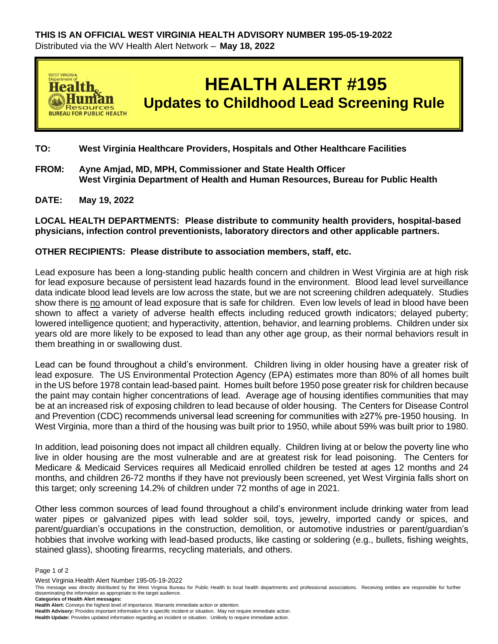

**TO: West Virginia Healthcare Providers, Hospitals and Other Healthcare Facilities** 

- **FROM: Ayne Amjad, MD, MPH, Commissioner and State Health Officer West Virginia Department of Health and Human Resources, Bureau for Public Health**
- **DATE: May 19, 2022**

**LOCAL HEALTH DEPARTMENTS: Please distribute to community health providers, hospital-based physicians, infection control preventionists, laboratory directors and other applicable partners.**

## **OTHER RECIPIENTS: Please distribute to association members, staff, etc.**

Lead exposure has been a long-standing public health concern and children in West Virginia are at high risk for lead exposure because of persistent lead hazards found in the environment. Blood lead level surveillance data indicate blood lead levels are low across the state, but we are not screening children adequately. Studies show there is no amount of lead exposure that is safe for children. Even low levels of lead in blood have been shown to affect a variety of adverse health effects including reduced growth indicators; delayed puberty; lowered intelligence quotient; and hyperactivity, attention, behavior, and learning problems. Children under six years old are more likely to be exposed to lead than any other age group, as their normal behaviors result in them breathing in or swallowing dust.

Lead can be found throughout a child's environment. Children living in older housing have a greater risk of lead exposure. The US Environmental Protection Agency (EPA) estimates more than 80% of all homes built in the US before 1978 contain lead-based paint. Homes built before 1950 pose greater risk for children because the paint may contain higher concentrations of lead. Average age of housing identifies communities that may be at an increased risk of exposing children to lead because of older housing. The Centers for Disease Control and Prevention (CDC) recommends universal lead screening for communities with ≥27% pre-1950 housing. In West Virginia, more than a third of the housing was built prior to 1950, while about 59% was built prior to 1980.

In addition, lead poisoning does not impact all children equally. Children living at or below the poverty line who live in older housing are the most vulnerable and are at greatest risk for lead poisoning. The Centers for Medicare & Medicaid Services requires all Medicaid enrolled children be tested at ages 12 months and 24 months, and children 26-72 months if they have not previously been screened, yet West Virginia falls short on this target; only screening 14.2% of children under 72 months of age in 2021.

Other less common sources of lead found throughout a child's environment include drinking water from lead water pipes or galvanized pipes with lead solder soil, toys, jewelry, imported candy or spices, and parent/guardian's occupations in the construction, demolition, or automotive industries or parent/guardian's hobbies that involve working with lead-based products, like casting or soldering (e.g., bullets, fishing weights, stained glass), shooting firearms, recycling materials, and others.

Page 1 of 2

West Virginia Health Alert Number 195-05-19-2022

This message was directly distributed by the West Virginia Bureau for Public Health to local health departments and professional associations. Receiving entities are responsible for further disseminating the information as appropriate to the target audience. **Categories of Health Alert messages:** 

**Health Alert:** Conveys the highest level of importance. Warrants immediate action or attention.

**Health Advisory:** Provides important information for a specific incident or situation. May not require immediate action.

**Health Update:** Provides updated information regarding an incident or situation. Unlikely to require immediate action.